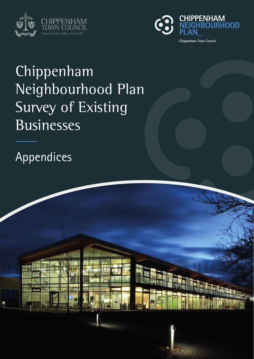



# Chippenham Neighbourhood Plan Survey of Existing Businesses

Appendices

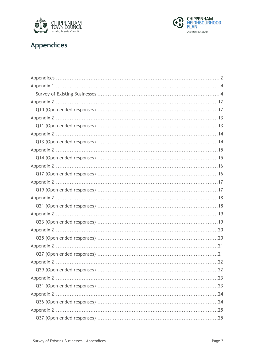



#### **Appendices**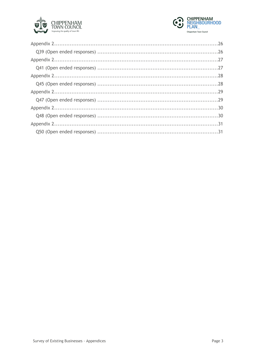

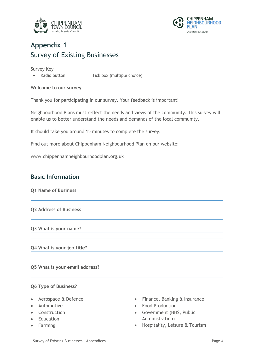



## **Appendix 1** Survey of Existing Businesses

Survey Key

• Radio button Tick box (multiple choice)

#### **Welcome to our survey**

Thank you for participating in our survey. Your feedback is important!

Neighbourhood Plans must reflect the needs and views of the community. This survey will enable us to better understand the needs and demands of the local community.

It should take you around 15 minutes to complete the survey.

Find out more about Chippenham Neighbourhood Plan on our website:

www.chippenhamneighbourhoodplan.org.uk

#### **Basic Information**

**Q1 Name of Business**

**Q2 Address of Business**

**Q3 What is your name?**

**Q4 What is your job title?**

**Q5 What is your email address?**

#### **Q6 Type of Business?**

- Aerospace & Defence
- Automotive
- Construction
- Education
- Farming
- Finance, Banking & Insurance
- Food Production
- Government (NHS, Public Administration)
- Hospitality, Leisure & Tourism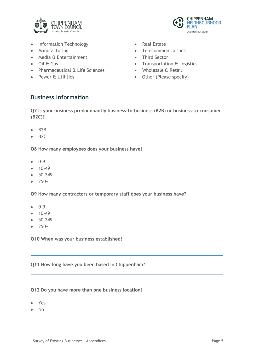

- Information Technology
- Manufacturing
- Media & Entertainment
- Oil & Gas
- Pharmaceutical & Life Sciences
- Power & Utilities
- Real Estate
- Telecommunications
- Third Sector
- Transportation & Logistics

**CHIPPENHAM** 

**PLAN** 

Chippenham Town Council

**VEIGHBOURHOOD** 

- Wholesale & Retail
- Other (Please specify)

#### **Business Information**

**Q7 Is your business predominantly business-to-business (B2B) or business-to-consumer (B2C)?**

- B2B
- B2C

**Q8 How many employees does your business have?**

- 0-9
- 10-49
- 50-249
- 250+

**Q9 How many contractors or temporary staff does your business have?**

- 0-9
- $10-49$
- 50-249
- $250+$

**Q10 When was your business established?**

**Q11 How long have you been based in Chippenham?**

**Q12 Do you have more than one business location?**

- Yes
- No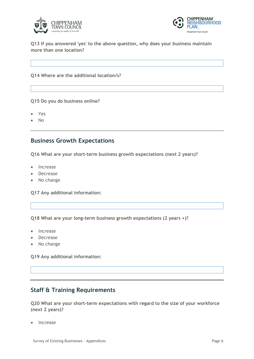



**Q13 If you answered 'yes' to the above question, why does your business maintain more than one location?**

**Q14 Where are the additional location/s?**

**Q15 Do you do business online?**

- Yes
- No

#### **Business Growth Expectations**

**Q16 What are your short-term business growth expectations (next 2 years)?**

- Increase
- Decrease
- No change

**Q17 Any additional information:**

**Q18 What are your long-term business growth expectations (2 years +)?**

- Increase
- Decrease
- No change

**Q19 Any additional information:**

#### **Staff & Training Requirements**

**Q20 What are your short-term expectations with regard to the size of your workforce (next 2 years)?**

**Increase**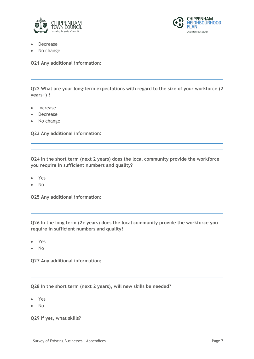



- **Decrease**
- No change

**Q21 Any additional information:**

**Q22 What are your long-term expectations with regard to the size of your workforce (2 years+) ?**

- **Increase**
- **Decrease**
- No change

**Q23 Any additional information:**

**Q24 In the short term (next 2 years) does the local community provide the workforce you require in sufficient numbers and quality?**

- Yes
- No

**Q25 Any additional information:**

**Q26 In the long term (2+ years) does the local community provide the workforce you require in sufficient numbers and quality?**

- Yes
- No

**Q27 Any additional information:**

**Q28 In the short term (next 2 years), will new skills be needed?**

- Yes
- No

**Q29 If yes, what skills?**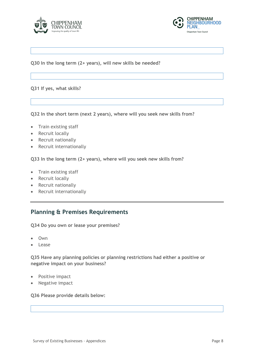



**Q30 In the long term (2+ years), will new skills be needed?**

**Q31 If yes, what skills?**

**Q32 In the short term (next 2 years), where will you seek new skills from?**

- Train existing staff
- Recruit locally
- Recruit nationally
- Recruit internationally

**Q33 In the long term (2+ years), where will you seek new skills from?**

- Train existing staff
- Recruit locally
- Recruit nationally
- Recruit internationally

#### **Planning & Premises Requirements**

**Q34 Do you own or lease your premises?**

- Own
- Lease

**Q35 Have any planning policies or planning restrictions had either a positive or negative impact on your business?**

- Positive impact
- Negative impact

**Q36 Please provide details below:**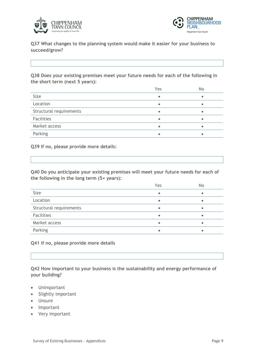



**Q37 What changes to the planning system would make it easier for your business to succeed/grow?**

**Q38 Does your existing premises meet your future needs for each of the following in the short term (next 5 years):**

|                         | Yes       | No |
|-------------------------|-----------|----|
| Size                    |           |    |
| Location                | $\bullet$ |    |
| Structural requirements |           |    |
| Facilities              | $\bullet$ |    |
| Market access           |           |    |
| Parking                 |           |    |

**Q39 If no, please provide more details:**

**Q40 Do you anticipate your existing premises will meet your future needs for each of the following in the long term (5+ years):**

|                         | Yes | No |
|-------------------------|-----|----|
| Size                    |     | ٠  |
| Location                |     |    |
| Structural requirements |     |    |
| Facilities              |     |    |
| Market access           |     | ٠  |
| Parking                 |     |    |
|                         |     |    |

**Q41 if no, please provide more details**

**Q42 How important to your business is the sustainability and energy performance of your building?**

- Unimportant
- Slightly important
- Unsure
- Important
- Very important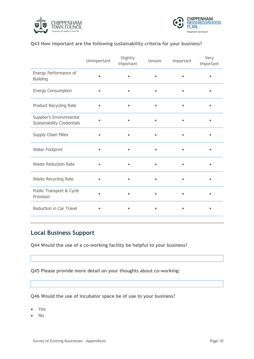



#### **Q43 How important are the following sustainability criteria for your business?**

|                                                               | Unimportant | Slightly<br>Important | Unsure | Important | Very<br>Important |
|---------------------------------------------------------------|-------------|-----------------------|--------|-----------|-------------------|
| Energy Performance of<br><b>Building</b>                      |             |                       |        |           |                   |
| <b>Energy Consumption</b>                                     | $\bullet$   | $\bullet$             |        | $\bullet$ |                   |
| Product Recycling Rate                                        |             |                       |        |           |                   |
| Supplier's Environmental<br><b>Sustainability Credentials</b> |             |                       |        |           |                   |
| Supply Chain Miles                                            |             |                       |        |           |                   |
| Water Footprint                                               |             |                       |        |           |                   |
| <b>Waste Reduction Rate</b>                                   |             |                       |        |           |                   |
| Waste Recycling Rate                                          |             |                       |        |           |                   |
| Public Transport & Cycle<br>Provision                         |             |                       |        |           |                   |
| Reduction in Car Travel                                       |             |                       |        |           |                   |

#### **Local Business Support**

**Q44 Would the use of a co-working facility be helpful to your business?**

**Q45 Please provide more detail on your thoughts about co-working:**

**Q46 Would the use of incubator space be of use to your business?**

- Yes
- No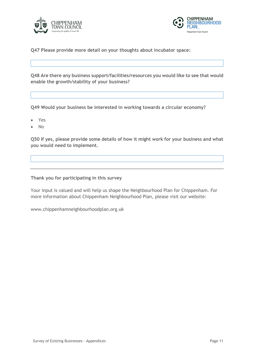



**Q47 Please provide more detail on your thoughts about incubator space:**

**Q48 Are there any business support/facilities/resources you would like to see that would enable the growth/stability of your business?**

**Q49 Would your business be interested in working towards a circular economy?**

- Yes
- No

**Q50 If yes, please provide some details of how it might work for your business and what you would need to implement.**

**Thank you for participating in this survey**

Your input is valued and will help us shape the Neighbourhood Plan for Chippenham. For more information about Chippenham Neighbourhood Plan, please visit our website:

www.chippenhamneighbourhoodplan.org.uk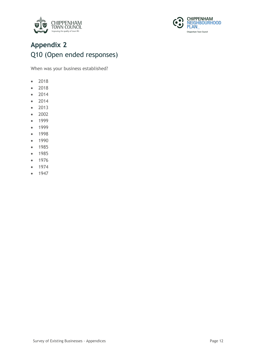



## **Appendix 2** Q10 (Open ended responses)

When was your business established?

- 2018
- 2018
- 2014
- 2014
- 2013
- 2002
- 1999
- 1999
- 1998
- 1990
- 1985
- 1985
- 1976
- 1974
- 1947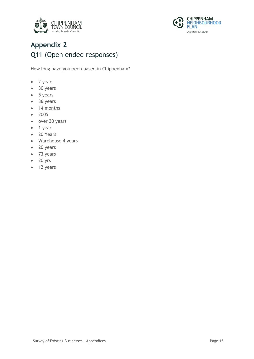



# **Appendix 2** Q11 (Open ended responses)

How long have you been based in Chippenham?

- 2 years
- 30 years
- 5 years
- 36 years
- 14 months
- 2005
- over 30 years
- 1 year
- 20 Years
- Warehouse 4 years
- 20 years
- 73 years
- 20 yrs
- 12 years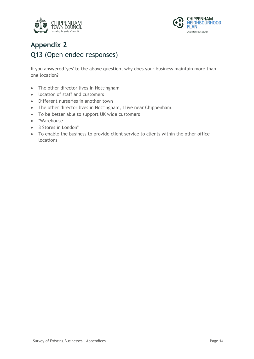



## **Appendix 2** Q13 (Open ended responses)

If you answered 'yes' to the above question, why does your business maintain more than one location?

- The other director lives in Nottingham
- location of staff and customers
- Different nurseries in another town
- The other director lives in Nottingham, I live near Chippenham.
- To be better able to support UK wide customers
- "Warehouse
- 3 Stores in London"
- To enable the business to provide client service to clients within the other office locations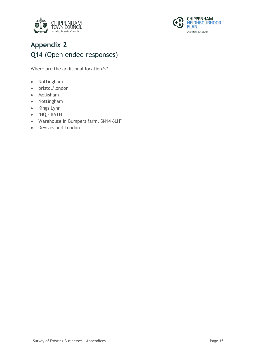



# **Appendix 2** Q14 (Open ended responses)

Where are the additional location/s?

- Nottingham
- bristol/london
- Melksham
- Nottingham
- Kings Lynn
- "HQ BATH
- Warehouse in Bumpers farm, SN14 6LH"
- Devizes and London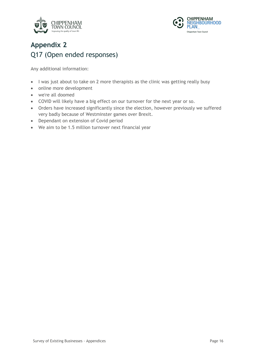



# **Appendix 2** Q17 (Open ended responses)

- I was just about to take on 2 more therapists as the clinic was getting really busy
- online more development
- we're all doomed
- COVID will likely have a big effect on our turnover for the next year or so.
- Orders have increased significantly since the election, however previously we suffered very badly because of Westminster games over Brexit.
- Dependant on extension of Covid period
- We aim to be 1.5 million turnover next financial year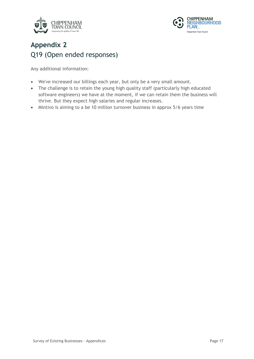



### **Appendix 2** Q19 (Open ended responses)

- We've increased our billings each year, but only be a very small amount.
- The challenge is to retain the young high quality staff (particularly high educated software engineers) we have at the moment, if we can retain them the business will thrive. But they expect high salaries and regular increases.
- Mintivo is aiming to a be 10 million turnover business in approx 5/6 years time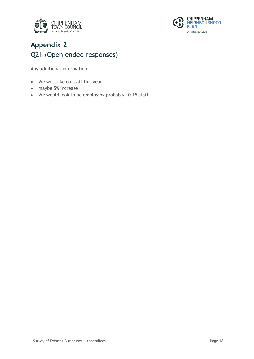



#### **Appendix 2** Q21 (Open ended responses)

- We will take on staff this year
- maybe 5% increase
- We would look to be employing probably 10-15 staff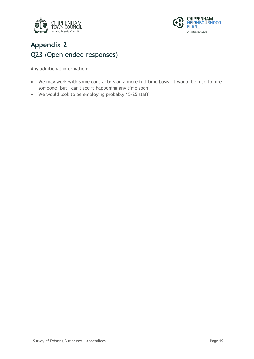



### **Appendix 2** Q23 (Open ended responses)

- We may work with some contractors on a more full-time basis. It would be nice to hire someone, but I can't see it happening any time soon.
- We would look to be employing probably 15-25 staff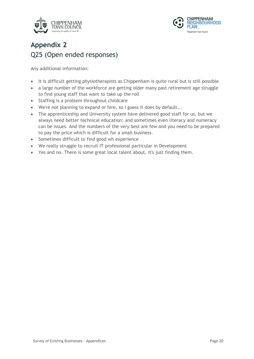



### **Appendix 2** Q25 (Open ended responses)

- It is difficult getting physiotherapists as Chippenham is quite rural but is still possible
- a large number of the workforce are getting older many past retirement age struggle to find young staff that want to take up the roll
- Staffing is a problem throughout childcare
- We're not planning to expand or hire, so I guess it does by default...
- The apprenticeship and University system have delivered good staff for us, but we always need better technical education; and sometimes even literacy and numeracy can be issues. And the numbers of the very best are few and you need to be prepared to pay the price which is difficult for a small business.
- Sometimes difficult to find good wh experience
- We really struggle to recruit IT professional particular in Development
- Yes and no. There is some great local talent about, it's just finding them.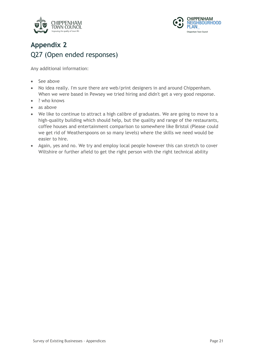



# **Appendix 2** Q27 (Open ended responses)

- See above
- No idea really. I'm sure there are web/print designers in and around Chippenham. When we were based in Pewsey we tried hiring and didn't get a very good response.
- ? who knows
- as above
- We like to continue to attract a high calibre of graduates. We are going to move to a high-quality building which should help, but the quality and range of the restaurants, coffee houses and entertainment comparison to somewhere like Bristol (Please could we get rid of Weatherspoons on so many levels) where the skills we need would be easier to hire.
- Again, yes and no. We try and employ local people however this can stretch to cover Wiltshire or further afield to get the right person with the right technical ability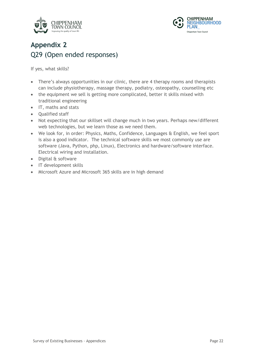



#### **Appendix 2** Q29 (Open ended responses)

If yes, what skills?

- There's always opportunities in our clinic, there are 4 therapy rooms and therapists can include physiotherapy, massage therapy, podiatry, osteopathy, counselling etc
- the equipment we sell is getting more complicated, better it skills mixed with traditional engineering
- IT, maths and stats
- Qualified staff
- Not expecting that our skillset will change much in two years. Perhaps new/different web technologies, but we learn those as we need them.
- We look for, in order: Physics, Maths, Confidence, Languages & English, we feel sport is also a good indicator. The technical software skills we most commonly use are software (Java, Python, php, Linux), Electronics and hardware/software interface. Electrical wiring and installation.
- Digital & software
- IT development skills
- Microsoft Azure and Microsoft 365 skills are in high demand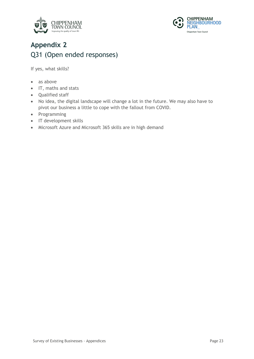



### **Appendix 2** Q31 (Open ended responses)

If yes, what skills?

- as above
- IT, maths and stats
- Qualified staff
- No idea, the digital landscape will change a lot in the future. We may also have to pivot our business a little to cope with the fallout from COVID.
- Programming
- IT development skills
- Microsoft Azure and Microsoft 365 skills are in high demand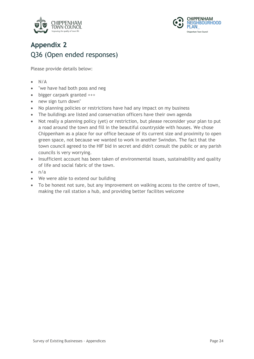



# **Appendix 2** Q36 (Open ended responses)

Please provide details below:

- $\bullet$  N/A
- "we have had both poss and neg
- bigger carpark granted +++
- new sign turn down"
- No planning policies or restrictions have had any impact on my business
- The buildings are listed and conservation officers have their own agenda
- Not really a planning policy (yet) or restriction, but please reconsider your plan to put a road around the town and fill in the beautiful countryside with houses. We chose Chippenham as a place for our office because of its current size and proximity to open green space, not because we wanted to work in another Swindon. The fact that the town council agreed to the HIF bid in secret and didn't consult the public or any parish councils is very worrying.
- Insufficient account has been taken of environmental issues, sustainability and quality of life and social fabric of the town.
- $\bullet$   $n/a$
- We were able to extend our building
- To be honest not sure, but any improvement on walking access to the centre of town, making the rail station a hub, and providing better facilites welcome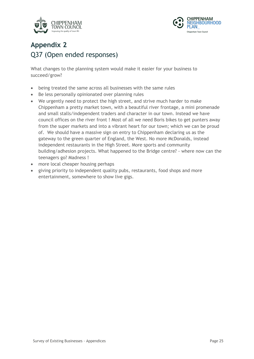



# **Appendix 2** Q37 (Open ended responses)

What changes to the planning system would make it easier for your business to succeed/grow?

- being treated the same across all businesses with the same rules
- Be less personally opinionated over planning rules
- We urgently need to protect the high street, and strive much harder to make Chippenham a pretty market town, with a beautiful river frontage, a mini promenade and small stalls/independent traders and character in our town. Instead we have council offices on the river front ! Most of all we need Boris bikes to get punters away from the super markets and into a vibrant heart for our town; which we can be proud of. We should have a massive sign on entry to Chippenham declaring us as the gateway to the green quarter of England, the West. No more McDonalds, instead independent restaurants in the High Street. More sports and community building/adhesion projects. What happened to the Bridge centre? - where now can the teenagers go? Madness !
- more local cheaper housing perhaps
- giving priority to independent quality pubs, restaurants, food shops and more entertainment, somewhere to show live gigs.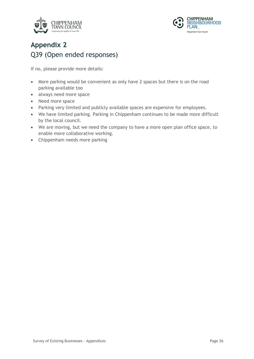



# **Appendix 2** Q39 (Open ended responses)

If no, please provide more details:

- More parking would be convenient as only have 2 spaces but there is on the road parking available too
- always need more space
- Need more space
- Parking very limited and publicly available spaces are expensive for employees.
- We have limited parking. Parking in Chippenham continues to be made more difficult by the local council.
- We are moving, but we need the company to have a more open plan office space, to enable more collaborative working.
- Chippenham needs more parking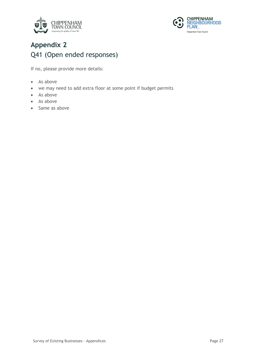



### **Appendix 2** Q41 (Open ended responses)

If no, please provide more details:

- As above
- we may need to add extra floor at some point if budget permits
- As above
- As above
- Same as above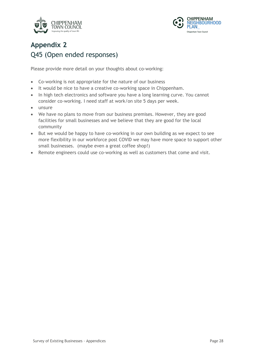



# **Appendix 2** Q45 (Open ended responses)

Please provide more detail on your thoughts about co-working:

- Co-working is not appropriate for the nature of our business
- It would be nice to have a creative co-working space in Chippenham.
- In high tech electronics and software you have a long learning curve. You cannot consider co-working. I need staff at work/on site 5 days per week.
- unsure
- We have no plans to move from our business premises. However, they are good facilities for small businesses and we believe that they are good for the local community
- But we would be happy to have co-working in our own building as we expect to see more flexibility in our workforce post COVID we may have more space to support other small businesses. (maybe even a great coffee shop!)
- Remote engineers could use co-working as well as customers that come and visit.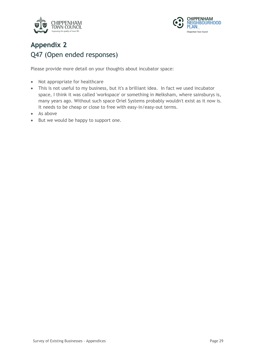



# **Appendix 2** Q47 (Open ended responses)

Please provide more detail on your thoughts about incubator space:

- Not appropriate for healthcare
- This is not useful to my business, but it's a brilliant idea. In fact we used incubator space, I think it was called 'workspace' or something in Melksham, where sainsburys is, many years ago. Without such space Oriel Systems probably wouldn't exist as it now is. It needs to be cheap or close to free with easy-in/easy-out terms.
- As above
- But we would be happy to support one.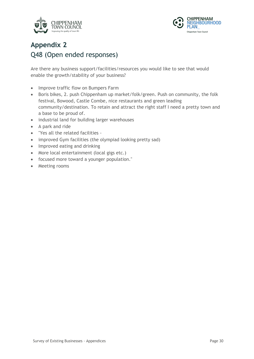



#### **Appendix 2** Q48 (Open ended responses)

Are there any business support/facilities/resources you would like to see that would enable the growth/stability of your business?

- Improve traffic flow on Bumpers Farm
- Boris bikes, 2. push Chippenham up market/folk/green. Push on community, the folk festival, Bowood, Castle Combe, nice restaurants and green leading community/destination. To retain and attract the right staff I need a pretty town and a base to be proud of.
- industrial land for building larger warehouses
- A park and ride
- "Yes all the related facilities -
- improved Gym facilities (the olympiad looking pretty sad)
- Improved eating and drinking
- More local entertainment (local gigs etc.)
- focused more toward a younger population."
- Meeting rooms